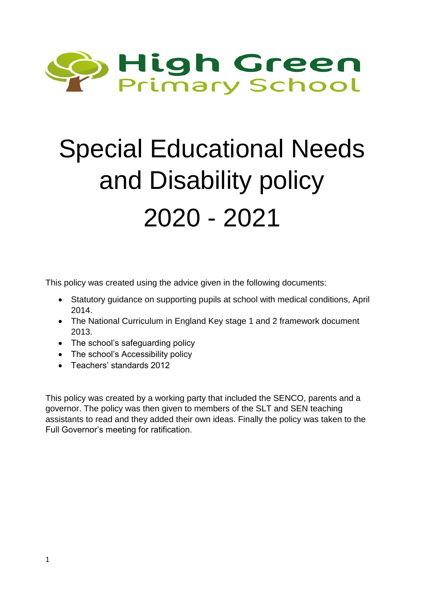

# Special Educational Needs and Disability policy 2020 - 2021

This policy was created using the advice given in the following documents:

- Statutory guidance on supporting pupils at school with medical conditions, April 2014.
- The National Curriculum in England Key stage 1 and 2 framework document 2013.
- The school's safeguarding policy
- The school's Accessibility policy
- Teachers' standards 2012

This policy was created by a working party that included the SENCO, parents and a governor. The policy was then given to members of the SLT and SEN teaching assistants to read and they added their own ideas. Finally the policy was taken to the Full Governor's meeting for ratification.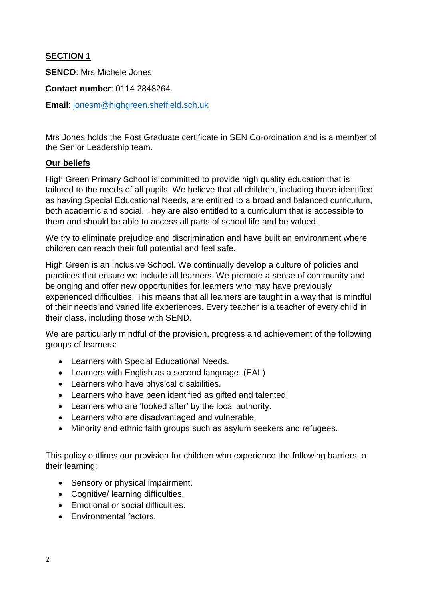## **SECTION 1**

**SENCO**: Mrs Michele Jones

**Contact number**: 0114 2848264.

**Email**: [jonesm@highgreen.sheffield.sch.uk](mailto:jonesm@highgreen.sheffield.sch.uk)

Mrs Jones holds the Post Graduate certificate in SEN Co-ordination and is a member of the Senior Leadership team.

#### **Our beliefs**

High Green Primary School is committed to provide high quality education that is tailored to the needs of all pupils. We believe that all children, including those identified as having Special Educational Needs, are entitled to a broad and balanced curriculum, both academic and social. They are also entitled to a curriculum that is accessible to them and should be able to access all parts of school life and be valued.

We try to eliminate prejudice and discrimination and have built an environment where children can reach their full potential and feel safe.

High Green is an Inclusive School. We continually develop a culture of policies and practices that ensure we include all learners. We promote a sense of community and belonging and offer new opportunities for learners who may have previously experienced difficulties. This means that all learners are taught in a way that is mindful of their needs and varied life experiences. Every teacher is a teacher of every child in their class, including those with SEND.

We are particularly mindful of the provision, progress and achievement of the following groups of learners:

- Learners with Special Educational Needs.
- Learners with English as a second language. (EAL)
- Learners who have physical disabilities.
- Learners who have been identified as gifted and talented.
- Learners who are 'looked after' by the local authority.
- Learners who are disadvantaged and vulnerable.
- Minority and ethnic faith groups such as asylum seekers and refugees.

This policy outlines our provision for children who experience the following barriers to their learning:

- Sensory or physical impairment.
- Cognitive/ learning difficulties.
- Emotional or social difficulties.
- Environmental factors.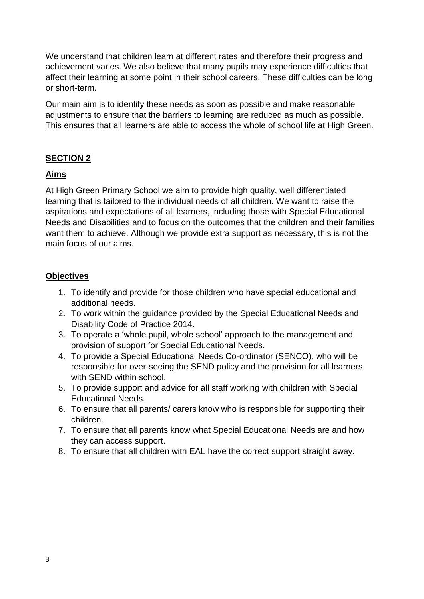We understand that children learn at different rates and therefore their progress and achievement varies. We also believe that many pupils may experience difficulties that affect their learning at some point in their school careers. These difficulties can be long or short-term.

Our main aim is to identify these needs as soon as possible and make reasonable adjustments to ensure that the barriers to learning are reduced as much as possible. This ensures that all learners are able to access the whole of school life at High Green.

## **SECTION 2**

## **Aims**

At High Green Primary School we aim to provide high quality, well differentiated learning that is tailored to the individual needs of all children. We want to raise the aspirations and expectations of all learners, including those with Special Educational Needs and Disabilities and to focus on the outcomes that the children and their families want them to achieve. Although we provide extra support as necessary, this is not the main focus of our aims.

#### **Objectives**

- 1. To identify and provide for those children who have special educational and additional needs.
- 2. To work within the guidance provided by the Special Educational Needs and Disability Code of Practice 2014.
- 3. To operate a 'whole pupil, whole school' approach to the management and provision of support for Special Educational Needs.
- 4. To provide a Special Educational Needs Co-ordinator (SENCO), who will be responsible for over-seeing the SEND policy and the provision for all learners with SEND within school.
- 5. To provide support and advice for all staff working with children with Special Educational Needs.
- 6. To ensure that all parents/ carers know who is responsible for supporting their children.
- 7. To ensure that all parents know what Special Educational Needs are and how they can access support.
- 8. To ensure that all children with EAL have the correct support straight away.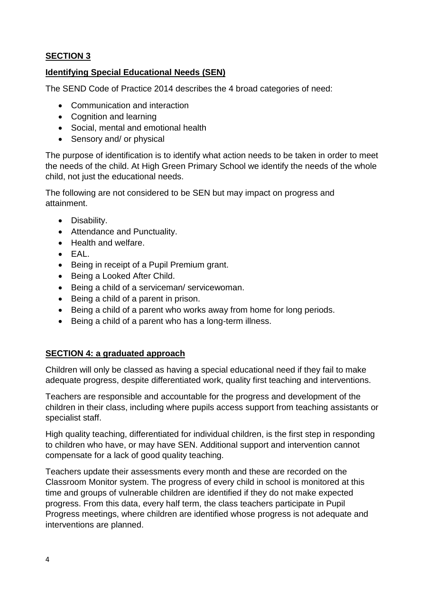# **SECTION 3**

# **Identifying Special Educational Needs (SEN)**

The SEND Code of Practice 2014 describes the 4 broad categories of need:

- Communication and interaction
- Cognition and learning
- Social, mental and emotional health
- Sensory and/ or physical

The purpose of identification is to identify what action needs to be taken in order to meet the needs of the child. At High Green Primary School we identify the needs of the whole child, not just the educational needs.

The following are not considered to be SEN but may impact on progress and attainment.

- Disability.
- Attendance and Punctuality.
- Health and welfare.
- EAL.
- Being in receipt of a Pupil Premium grant.
- Being a Looked After Child.
- Being a child of a serviceman/ servicewoman.
- Being a child of a parent in prison.
- Being a child of a parent who works away from home for long periods.
- Being a child of a parent who has a long-term illness.

## **SECTION 4: a graduated approach**

Children will only be classed as having a special educational need if they fail to make adequate progress, despite differentiated work, quality first teaching and interventions.

Teachers are responsible and accountable for the progress and development of the children in their class, including where pupils access support from teaching assistants or specialist staff.

High quality teaching, differentiated for individual children, is the first step in responding to children who have, or may have SEN. Additional support and intervention cannot compensate for a lack of good quality teaching.

Teachers update their assessments every month and these are recorded on the Classroom Monitor system. The progress of every child in school is monitored at this time and groups of vulnerable children are identified if they do not make expected progress. From this data, every half term, the class teachers participate in Pupil Progress meetings, where children are identified whose progress is not adequate and interventions are planned.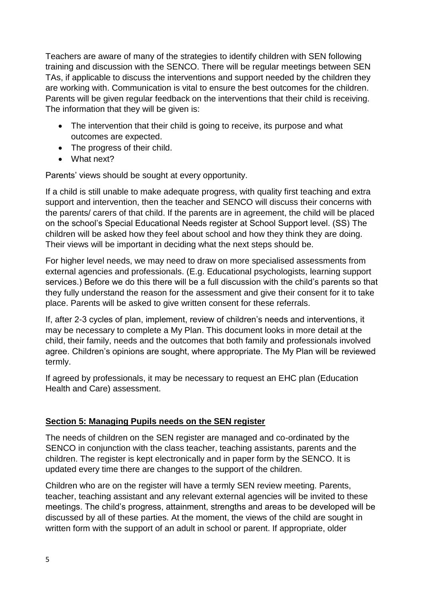Teachers are aware of many of the strategies to identify children with SEN following training and discussion with the SENCO. There will be regular meetings between SEN TAs, if applicable to discuss the interventions and support needed by the children they are working with. Communication is vital to ensure the best outcomes for the children. Parents will be given regular feedback on the interventions that their child is receiving. The information that they will be given is:

- The intervention that their child is going to receive, its purpose and what outcomes are expected.
- The progress of their child.
- What next?

Parents' views should be sought at every opportunity.

If a child is still unable to make adequate progress, with quality first teaching and extra support and intervention, then the teacher and SENCO will discuss their concerns with the parents/ carers of that child. If the parents are in agreement, the child will be placed on the school's Special Educational Needs register at School Support level. (SS) The children will be asked how they feel about school and how they think they are doing. Their views will be important in deciding what the next steps should be.

For higher level needs, we may need to draw on more specialised assessments from external agencies and professionals. (E.g. Educational psychologists, learning support services.) Before we do this there will be a full discussion with the child's parents so that they fully understand the reason for the assessment and give their consent for it to take place. Parents will be asked to give written consent for these referrals.

If, after 2-3 cycles of plan, implement, review of children's needs and interventions, it may be necessary to complete a My Plan. This document looks in more detail at the child, their family, needs and the outcomes that both family and professionals involved agree. Children's opinions are sought, where appropriate. The My Plan will be reviewed termly.

If agreed by professionals, it may be necessary to request an EHC plan (Education Health and Care) assessment.

## **Section 5: Managing Pupils needs on the SEN register**

The needs of children on the SEN register are managed and co-ordinated by the SENCO in conjunction with the class teacher, teaching assistants, parents and the children. The register is kept electronically and in paper form by the SENCO. It is updated every time there are changes to the support of the children.

Children who are on the register will have a termly SEN review meeting. Parents, teacher, teaching assistant and any relevant external agencies will be invited to these meetings. The child's progress, attainment, strengths and areas to be developed will be discussed by all of these parties. At the moment, the views of the child are sought in written form with the support of an adult in school or parent. If appropriate, older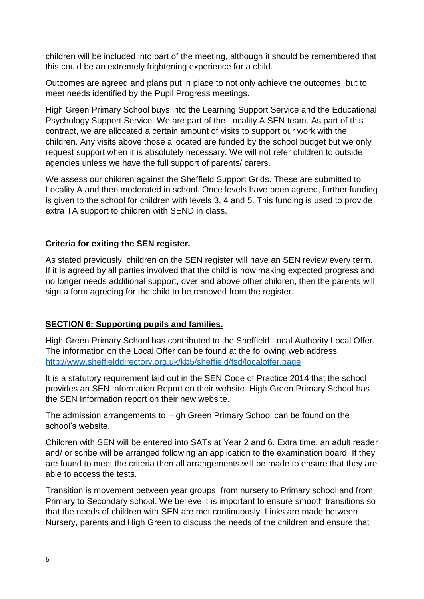children will be included into part of the meeting, although it should be remembered that this could be an extremely frightening experience for a child.

Outcomes are agreed and plans put in place to not only achieve the outcomes, but to meet needs identified by the Pupil Progress meetings.

High Green Primary School buys into the Learning Support Service and the Educational Psychology Support Service. We are part of the Locality A SEN team. As part of this contract, we are allocated a certain amount of visits to support our work with the children. Any visits above those allocated are funded by the school budget but we only request support when it is absolutely necessary. We will not refer children to outside agencies unless we have the full support of parents/ carers.

We assess our children against the Sheffield Support Grids. These are submitted to Locality A and then moderated in school. Once levels have been agreed, further funding is given to the school for children with levels 3, 4 and 5. This funding is used to provide extra TA support to children with SEND in class.

#### **Criteria for exiting the SEN register.**

As stated previously, children on the SEN register will have an SEN review every term. If it is agreed by all parties involved that the child is now making expected progress and no longer needs additional support, over and above other children, then the parents will sign a form agreeing for the child to be removed from the register.

## **SECTION 6: Supporting pupils and families.**

High Green Primary School has contributed to the Sheffield Local Authority Local Offer. The information on the Local Offer can be found at the following web address: <http://www.sheffielddirectory.org.uk/kb5/sheffield/fsd/localoffer.page>

It is a statutory requirement laid out in the SEN Code of Practice 2014 that the school provides an SEN Information Report on their website. High Green Primary School has the SEN Information report on their new website.

The admission arrangements to High Green Primary School can be found on the school's website.

Children with SEN will be entered into SATs at Year 2 and 6. Extra time, an adult reader and/ or scribe will be arranged following an application to the examination board. If they are found to meet the criteria then all arrangements will be made to ensure that they are able to access the tests.

Transition is movement between year groups, from nursery to Primary school and from Primary to Secondary school. We believe it is important to ensure smooth transitions so that the needs of children with SEN are met continuously. Links are made between Nursery, parents and High Green to discuss the needs of the children and ensure that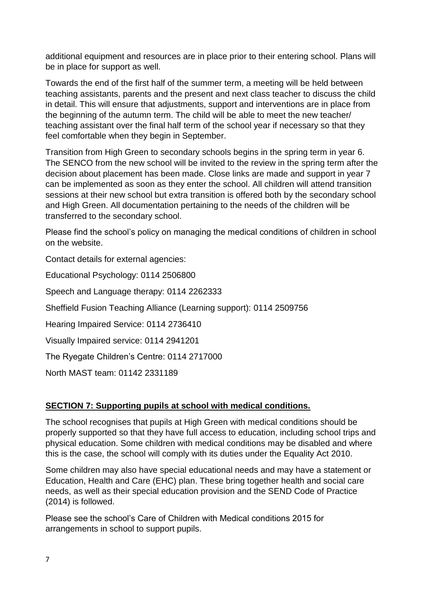additional equipment and resources are in place prior to their entering school. Plans will be in place for support as well.

Towards the end of the first half of the summer term, a meeting will be held between teaching assistants, parents and the present and next class teacher to discuss the child in detail. This will ensure that adjustments, support and interventions are in place from the beginning of the autumn term. The child will be able to meet the new teacher/ teaching assistant over the final half term of the school year if necessary so that they feel comfortable when they begin in September.

Transition from High Green to secondary schools begins in the spring term in year 6. The SENCO from the new school will be invited to the review in the spring term after the decision about placement has been made. Close links are made and support in year 7 can be implemented as soon as they enter the school. All children will attend transition sessions at their new school but extra transition is offered both by the secondary school and High Green. All documentation pertaining to the needs of the children will be transferred to the secondary school.

Please find the school's policy on managing the medical conditions of children in school on the website.

Contact details for external agencies:

Educational Psychology: 0114 2506800

Speech and Language therapy: 0114 2262333

Sheffield Fusion Teaching Alliance (Learning support): 0114 2509756

Hearing Impaired Service: 0114 2736410

Visually Impaired service: 0114 2941201

The Ryegate Children's Centre: 0114 2717000

North MAST team: 01142 2331189

## **SECTION 7: Supporting pupils at school with medical conditions.**

The school recognises that pupils at High Green with medical conditions should be properly supported so that they have full access to education, including school trips and physical education. Some children with medical conditions may be disabled and where this is the case, the school will comply with its duties under the Equality Act 2010.

Some children may also have special educational needs and may have a statement or Education, Health and Care (EHC) plan. These bring together health and social care needs, as well as their special education provision and the SEND Code of Practice (2014) is followed.

Please see the school's Care of Children with Medical conditions 2015 for arrangements in school to support pupils.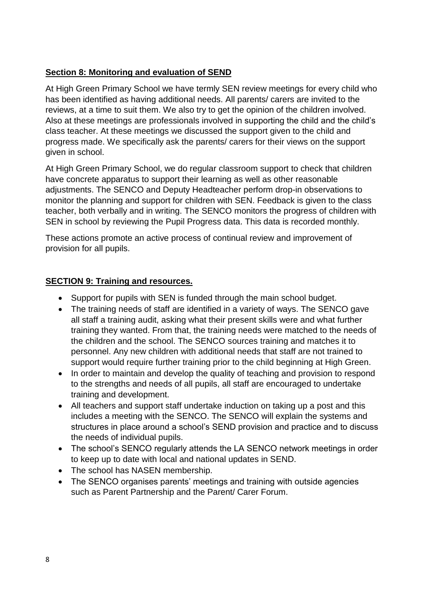## **Section 8: Monitoring and evaluation of SEND**

At High Green Primary School we have termly SEN review meetings for every child who has been identified as having additional needs. All parents/ carers are invited to the reviews, at a time to suit them. We also try to get the opinion of the children involved. Also at these meetings are professionals involved in supporting the child and the child's class teacher. At these meetings we discussed the support given to the child and progress made. We specifically ask the parents/ carers for their views on the support given in school.

At High Green Primary School, we do regular classroom support to check that children have concrete apparatus to support their learning as well as other reasonable adjustments. The SENCO and Deputy Headteacher perform drop-in observations to monitor the planning and support for children with SEN. Feedback is given to the class teacher, both verbally and in writing. The SENCO monitors the progress of children with SEN in school by reviewing the Pupil Progress data. This data is recorded monthly.

These actions promote an active process of continual review and improvement of provision for all pupils.

#### **SECTION 9: Training and resources.**

- Support for pupils with SEN is funded through the main school budget.
- The training needs of staff are identified in a variety of ways. The SENCO gave all staff a training audit, asking what their present skills were and what further training they wanted. From that, the training needs were matched to the needs of the children and the school. The SENCO sources training and matches it to personnel. Any new children with additional needs that staff are not trained to support would require further training prior to the child beginning at High Green.
- In order to maintain and develop the quality of teaching and provision to respond to the strengths and needs of all pupils, all staff are encouraged to undertake training and development.
- All teachers and support staff undertake induction on taking up a post and this includes a meeting with the SENCO. The SENCO will explain the systems and structures in place around a school's SEND provision and practice and to discuss the needs of individual pupils.
- The school's SENCO regularly attends the LA SENCO network meetings in order to keep up to date with local and national updates in SEND.
- The school has NASEN membership.
- The SENCO organises parents' meetings and training with outside agencies such as Parent Partnership and the Parent/ Carer Forum.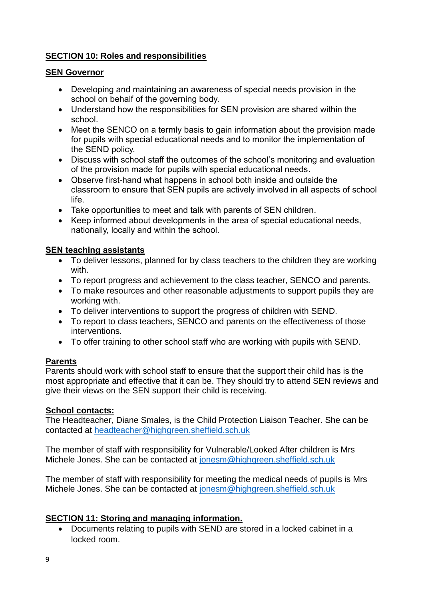## **SECTION 10: Roles and responsibilities**

#### **SEN Governor**

- Developing and maintaining an awareness of special needs provision in the school on behalf of the governing body.
- Understand how the responsibilities for SEN provision are shared within the school.
- Meet the SENCO on a termly basis to gain information about the provision made for pupils with special educational needs and to monitor the implementation of the SEND policy.
- Discuss with school staff the outcomes of the school's monitoring and evaluation of the provision made for pupils with special educational needs.
- Observe first-hand what happens in school both inside and outside the classroom to ensure that SEN pupils are actively involved in all aspects of school life.
- Take opportunities to meet and talk with parents of SEN children.
- Keep informed about developments in the area of special educational needs, nationally, locally and within the school.

#### **SEN teaching assistants**

- To deliver lessons, planned for by class teachers to the children they are working with.
- To report progress and achievement to the class teacher, SENCO and parents.
- To make resources and other reasonable adjustments to support pupils they are working with.
- To deliver interventions to support the progress of children with SEND.
- To report to class teachers, SENCO and parents on the effectiveness of those interventions.
- To offer training to other school staff who are working with pupils with SEND.

#### **Parents**

Parents should work with school staff to ensure that the support their child has is the most appropriate and effective that it can be. They should try to attend SEN reviews and give their views on the SEN support their child is receiving.

#### **School contacts:**

The Headteacher, Diane Smales, is the Child Protection Liaison Teacher. She can be contacted at [headteacher@highgreen.sheffield.sch.uk](mailto:headteacher@highgreen.sheffield.sch.uk)

The member of staff with responsibility for Vulnerable/Looked After children is Mrs Michele Jones. She can be contacted at [jonesm@highgreen.sheffield.sch.uk](mailto:jonesm@highgreen.sheffield.sch.uk)

The member of staff with responsibility for meeting the medical needs of pupils is Mrs Michele Jones. She can be contacted at [jonesm@highgreen.sheffield.sch.uk](mailto:jonesm@highgreen.sheffield.sch.uk)

#### **SECTION 11: Storing and managing information.**

 Documents relating to pupils with SEND are stored in a locked cabinet in a locked room.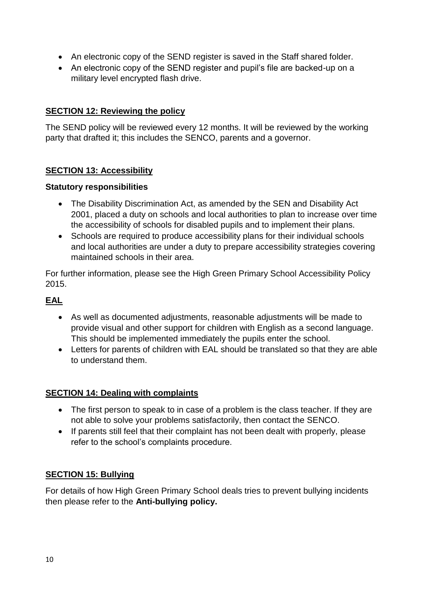- An electronic copy of the SEND register is saved in the Staff shared folder.
- An electronic copy of the SEND register and pupil's file are backed-up on a military level encrypted flash drive.

#### **SECTION 12: Reviewing the policy**

The SEND policy will be reviewed every 12 months. It will be reviewed by the working party that drafted it; this includes the SENCO, parents and a governor.

## **SECTION 13: Accessibility**

#### **Statutory responsibilities**

- The Disability Discrimination Act, as amended by the SEN and Disability Act 2001, placed a duty on schools and local authorities to plan to increase over time the accessibility of schools for disabled pupils and to implement their plans.
- Schools are required to produce accessibility plans for their individual schools and local authorities are under a duty to prepare accessibility strategies covering maintained schools in their area.

For further information, please see the High Green Primary School Accessibility Policy 2015.

#### **EAL**

- As well as documented adjustments, reasonable adjustments will be made to provide visual and other support for children with English as a second language. This should be implemented immediately the pupils enter the school.
- Letters for parents of children with EAL should be translated so that they are able to understand them.

#### **SECTION 14: Dealing with complaints**

- The first person to speak to in case of a problem is the class teacher. If they are not able to solve your problems satisfactorily, then contact the SENCO.
- If parents still feel that their complaint has not been dealt with properly, please refer to the school's complaints procedure.

#### **SECTION 15: Bullying**

For details of how High Green Primary School deals tries to prevent bullying incidents then please refer to the **Anti-bullying policy.**